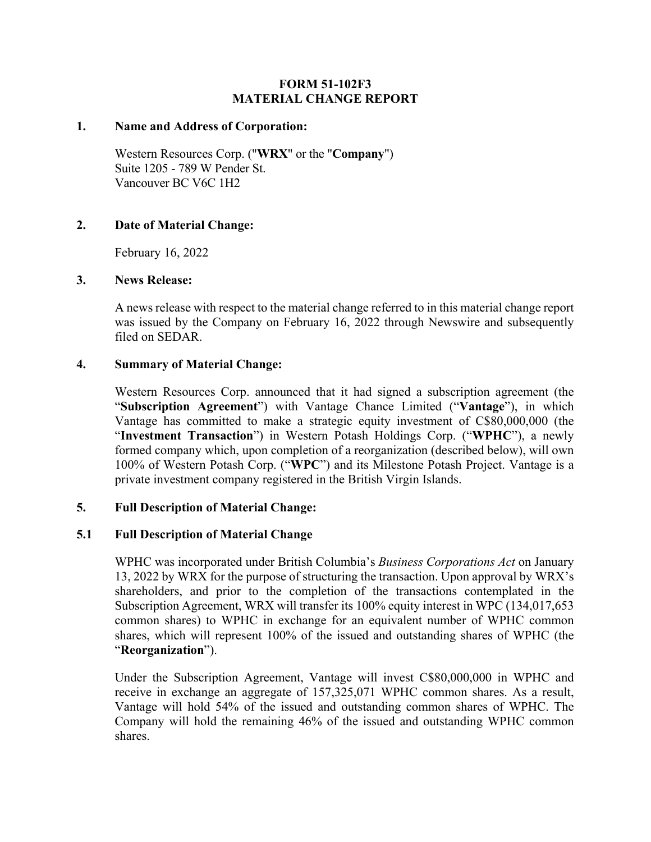## **FORM 51-102F3 MATERIAL CHANGE REPORT**

#### **1. Name and Address of Corporation:**

Western Resources Corp. ("**WRX**" or the "**Company**") Suite 1205 - 789 W Pender St. Vancouver BC V6C 1H2

### **2. Date of Material Change:**

February 16, 2022

### **3. News Release:**

A news release with respect to the material change referred to in this material change report was issued by the Company on February 16, 2022 through Newswire and subsequently filed on SEDAR.

## **4. Summary of Material Change:**

Western Resources Corp. announced that it had signed a subscription agreement (the "**Subscription Agreement**") with Vantage Chance Limited ("**Vantage**"), in which Vantage has committed to make a strategic equity investment of C\$80,000,000 (the "**Investment Transaction**") in Western Potash Holdings Corp. ("**WPHC**"), a newly formed company which, upon completion of a reorganization (described below), will own 100% of Western Potash Corp. ("**WPC**") and its Milestone Potash Project. Vantage is a private investment company registered in the British Virgin Islands.

### **5. Full Description of Material Change:**

# **5.1 Full Description of Material Change**

WPHC was incorporated under British Columbia's *Business Corporations Act* on January 13, 2022 by WRX for the purpose of structuring the transaction. Upon approval by WRX's shareholders, and prior to the completion of the transactions contemplated in the Subscription Agreement, WRX will transfer its 100% equity interest in WPC (134,017,653 common shares) to WPHC in exchange for an equivalent number of WPHC common shares, which will represent 100% of the issued and outstanding shares of WPHC (the "**Reorganization**").

Under the Subscription Agreement, Vantage will invest C\$80,000,000 in WPHC and receive in exchange an aggregate of 157,325,071 WPHC common shares. As a result, Vantage will hold 54% of the issued and outstanding common shares of WPHC. The Company will hold the remaining 46% of the issued and outstanding WPHC common shares.